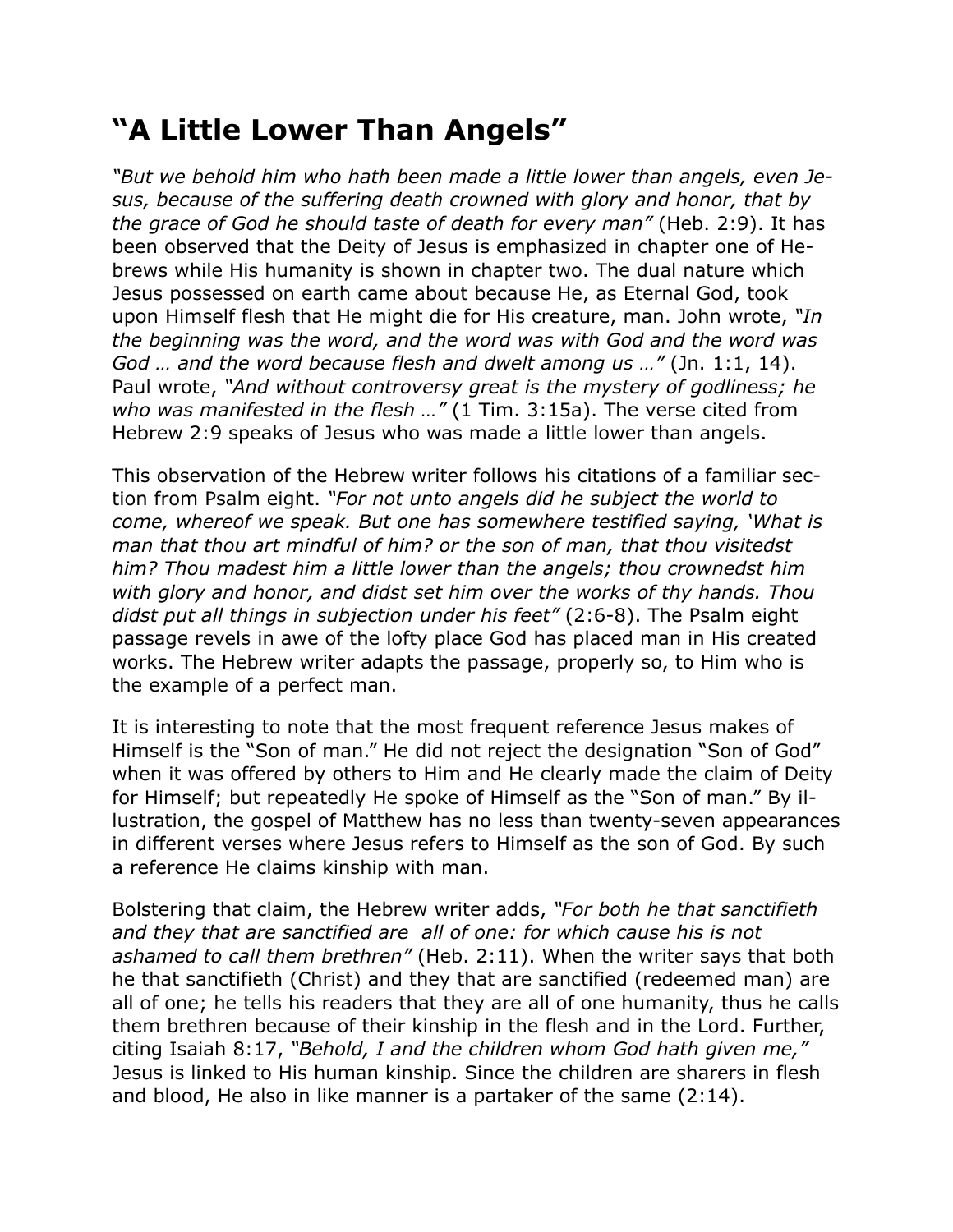## **"A Little Lower Than Angels"**

*"But we behold him who hath been made a little lower than angels, even Jesus, because of the suffering death crowned with glory and honor, that by the grace of God he should taste of death for every man"* (Heb. 2:9). It has been observed that the Deity of Jesus is emphasized in chapter one of Hebrews while His humanity is shown in chapter two. The dual nature which Jesus possessed on earth came about because He, as Eternal God, took upon Himself flesh that He might die for His creature, man. John wrote, *"In the beginning was the word, and the word was with God and the word was God … and the word because flesh and dwelt among us …"* (Jn. 1:1, 14). Paul wrote, *"And without controversy great is the mystery of godliness; he who was manifested in the flesh …"* (1 Tim. 3:15a). The verse cited from Hebrew 2:9 speaks of Jesus who was made a little lower than angels.

This observation of the Hebrew writer follows his citations of a familiar section from Psalm eight. *"For not unto angels did he subject the world to come, whereof we speak. But one has somewhere testified saying, 'What is man that thou art mindful of him? or the son of man, that thou visitedst him? Thou madest him a little lower than the angels; thou crownedst him with glory and honor, and didst set him over the works of thy hands. Thou didst put all things in subjection under his feet"* (2:6-8). The Psalm eight passage revels in awe of the lofty place God has placed man in His created works. The Hebrew writer adapts the passage, properly so, to Him who is the example of a perfect man.

It is interesting to note that the most frequent reference Jesus makes of Himself is the "Son of man." He did not reject the designation "Son of God" when it was offered by others to Him and He clearly made the claim of Deity for Himself; but repeatedly He spoke of Himself as the "Son of man." By illustration, the gospel of Matthew has no less than twenty-seven appearances in different verses where Jesus refers to Himself as the son of God. By such a reference He claims kinship with man.

Bolstering that claim, the Hebrew writer adds, *"For both he that sanctifieth and they that are sanctified are all of one: for which cause his is not ashamed to call them brethren"* (Heb. 2:11). When the writer says that both he that sanctifieth (Christ) and they that are sanctified (redeemed man) are all of one; he tells his readers that they are all of one humanity, thus he calls them brethren because of their kinship in the flesh and in the Lord. Further, citing Isaiah 8:17, *"Behold, I and the children whom God hath given me,"* Jesus is linked to His human kinship. Since the children are sharers in flesh and blood, He also in like manner is a partaker of the same (2:14).